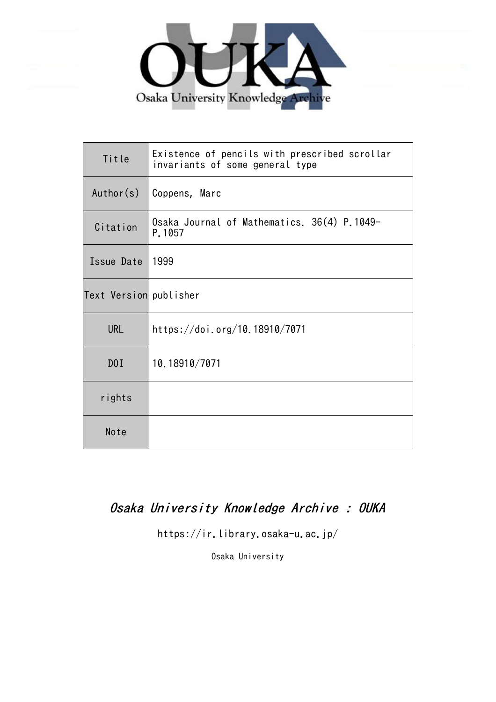

| Title                  | Existence of pencils with prescribed scrollar<br>invariants of some general type |
|------------------------|----------------------------------------------------------------------------------|
| Author(s)              | Coppens, Marc                                                                    |
| Citation               | Osaka Journal of Mathematics. 36(4) P.1049-<br>P.1057                            |
| Issue Date             | 1999                                                                             |
| Text Version publisher |                                                                                  |
| <b>URL</b>             | https://doi.org/10.18910/7071                                                    |
| DOI                    | 10.18910/7071                                                                    |
| rights                 |                                                                                  |
| Note                   |                                                                                  |

# Osaka University Knowledge Archive : OUKA

https://ir.library.osaka-u.ac.jp/

Osaka University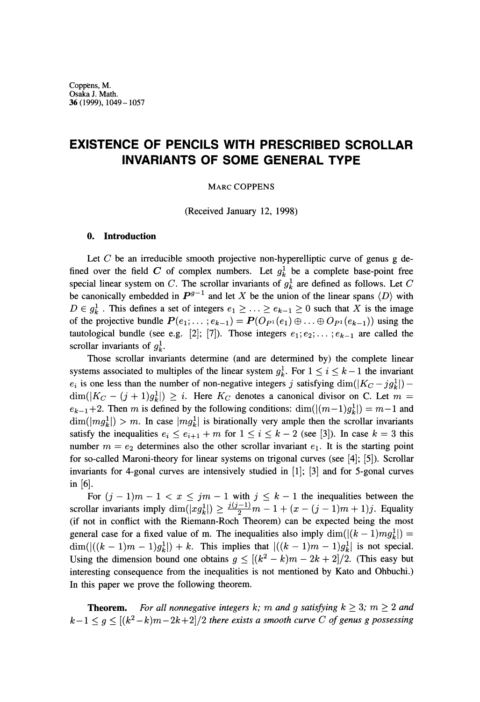# **EXISTENCE OF PENCILS WITH PRESCRIBED SCROLLAR INVARIANTS OF SOME GENERAL TYPE**

## MARC COPPENS

(Received January 12, 1998)

#### **0. Introduction**

Let *C* be an irreducible smooth projective non-hyperelliptic curve of genus g defined over the field C of complex numbers. Let  $g_k^1$  be a complete base-point free special linear system on C. The scrollar invariants of  $g_k^1$  are defined as follows. Let C be canonically embedded in  $P^{g-1}$  and let X be the union of the linear spans  $\langle D \rangle$  with  $D \in g_k^1$ . This defines a set of integers  $e_1 \geq \ldots \geq e_{k-1} \geq 0$  such that X is the image of the projective bundle  $P(e_1; \ldots; e_{k-1}) = P(O_{P^1}(e_1) \oplus \ldots \oplus O_{P^1}(e_{k-1}))$  using the tautological bundle (see e.g. [2]; [7]). Those integers  $e_1; e_2; \dots; e_{k-1}$  are called the scrollar invariants of  $g_k^1$ .

Those scrollar invariants determine (and are determined by) the complete linear systems associated to multiples of the linear system  $g_k^1$ . For  $1 \le i \le k-1$  the invariant  $e_i$  is one less than the number of non-negative integers *j* satisfying dim( $\frac{K_C - j g_k^1}{-1}$ )  $dim(|K_C - (j + 1)g_k^1|) \geq i$ . Here  $K_C$  denotes a canonical divisor on C. Let  $m =$  $e_{k-1}+2$ . Then m is defined by the following conditions: dim( $|(m-1)g_k^1|$ ) = m-1 and  $\dim(|mg_k^1|) > m$ . In case  $|mg_k^1|$  is birationally very ample then the scrollar invariants satisfy the inequalities  $e_i \leq e_{i+1} + m$  for  $1 \leq i \leq k - 2$  (see [3]). In case  $k = 3$  this number  $m = e_2$  determines also the other scrollar invariant  $e_1$ . It is the starting point for so-called Maroni-theory for linear systems on trigonal curves (see [4]; [5]). Scrollar invariants for 4-gonal curves are intensively studied in [1]; [3] and for 5-gonal curves in [6].

For  $(j-1)m-1 < x \leq jm-1$  with  $j \leq k-1$  the inequalities between the scrollar invariants imply  $\dim(|xg_k^1|) \geq \frac{j(j-1)}{2}m - 1 + (x - (j - 1)m + 1)j$ . Equality (if not in conflict with the Riemann-Roch Theorem) can be expected being the most general case for a fixed value of m. The inequalities also imply  $\dim((k-1)mg_k^1) =$  $\dim((k-1)m - 1)g_k^1$ ) + k. This implies that  $|((k-1)m - 1)g_k^1|$  is not special. Using the dimension bound one obtains  $g \leq [(k^2 - k)m - 2k + 2]/2$ . (This easy but interesting consequence from the inequalities is not mentioned by Kato and Ohbuchi.) In this paper we prove the following theorem.

**Theorem.** For all nonnegative integers k; m and g satisfying  $k \geq 3$ ;  $m \geq 2$  and  $k-1 \leq g \leq [(k^2-k)m-2k+2]/2$  there exists a smooth curve C of genus g possessing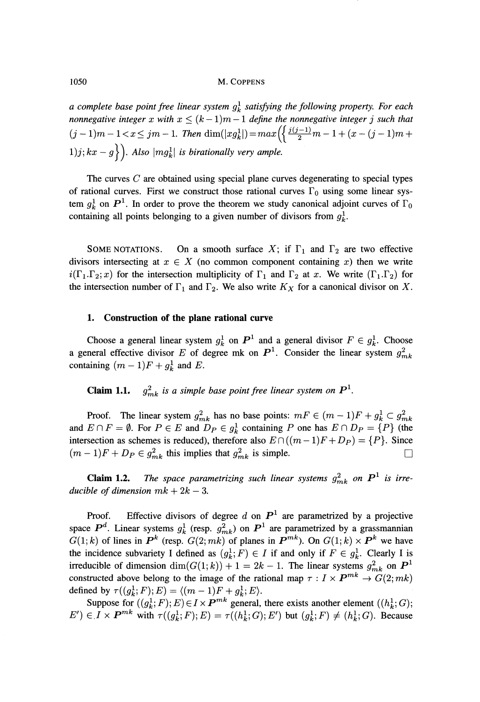1050 M. COPPENS

*a complete base point free linear system*  $g_k^1$  *satisfying the following property. For each nonnegative integer x with*  $x \leq (k-1)m-1$  *define the nonnegative integer j such that*  $(j-1)m - 1 < x \leq jm - 1$ . Then  $\dim(|xg_k^1|) = max(\frac{3^{(j-1)}}{2}m - 1 + (x - (j-1)m + 1))$  $\{1)j; kx - g\}$ ). Also  $\{mg_k^1\}$  is birationally very ample.

The curves *C* are obtained using special plane curves degenerating to special types of rational curves. First we construct those rational curves  $\Gamma_0$  using some linear system  $g_k^1$  on  $\mathbf{P}^1$ . In order to prove the theorem we study canonical adjoint curves of  $\Gamma_0$ containing all points belonging to a given number of divisors from  $g_k^1$ .

SOME NOTATIONS. On a smooth surface X; if  $\Gamma_1$  and  $\Gamma_2$  are two effective divisors intersecting at  $x \in X$  (no common component containing x) then we write  $i(\Gamma_1.\Gamma_2;x)$  for the intersection multiplicity of  $\Gamma_1$  and  $\Gamma_2$  at x. We write  $(\Gamma_1.\Gamma_2)$  for the intersection number of  $\Gamma_1$  and  $\Gamma_2$ . We also write  $K_X$  for a canonical divisor on X.

# **1. Construction of the plane rational curve**

Choose a general linear system  $g_k^1$  on  $P^1$  and a general divisor  $F \in g_k^1$ . Choose a general effective divisor E of degree mk on  $P^1$ . Consider the linear system  $g^2_{mk}$ containing  $(m - 1)F + g_k^1$  and *E*.

**Claim 1.1.** *g^<sup>k</sup>*  $\mathbf{p}_k$  is a simple base point free linear system on  $\mathbf{P}^1$ .

Proof. The linear system  $g^2_{mk}$  has no base points:  $mF \in (m-1)F + g^1_k \subset g^2_{mk}$ and  $E \cap F = \emptyset$ . For  $P \in E$  and  $D_P \in g_k^1$  containing P one has  $E \cap D_P = \{P\}$  (the intersection as schemes is reduced), therefore also  $E \cap ((m - 1)F + D_P) = \{P\}$ . Since  $(m-1)F + D_P \in g^2_{mk}$  this implies that  $g^2_{mk}$  is simple.

**Claim 1.2.** The space parametrizing such linear systems  $g_{mk}^2$  on  $\mathbf{P}^1$  is irre*ducible of dimension*  $mk + 2k - 3$ .

Proof. Effective divisors of degree d on  $P<sup>1</sup>$  are parametrized by a projective space  $P^d$ . Linear systems  $g_k^1$  (resp.  $g_{mk}^2$ ) on  $P^1$  are parametrized by a grassmannian  $G(1;k)$  of lines in  $P^k$  (resp.  $G(2;mk)$  of planes in  $P^{mk}$ ). On  $G(1;k) \times P^k$  we have the incidence subvariety I defined as  $(g_k^1; F) \in I$  if and only if  $F \in g_k^1$ . Clearly I is irreducible of dimension  $\dim(G(1;k)) + 1 = 2k - 1$ . The linear systems  $g^2_{mk}$  on  $\mathbf{P}^1$ constructed above belong to the image of the rational map  $\tau: I \times P^{mk} \to G(2; mk)$ defined by  $\tau((g_k^1; F); E) = \langle (m - 1)F + g_k^1; E \rangle.$ 

Suppose for  $((g^1_k; F); E) \in I \times P^{mk}$  general, there exists another element  $((h^1_k; G);$  $E'$ )  $\in I \times P^{mk}$  with  $\tau((g_k^1;F);E) = \tau((h_k^1;G);E')$  but  $(g_k^1;F) \neq (h_k^1;G)$ . Because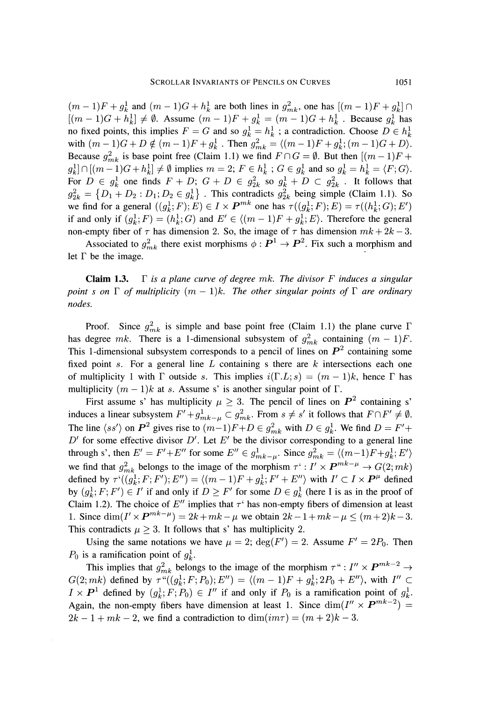$(m-1)F + g_k^1$  and  $(m-1)G + h_k^1$  are both lines in  $g_{mk}^2$ , one has  $[(m-1)F + g_k^1] \cap$  $[(m - 1)G + h_k^1] \neq \emptyset$ . Assume  $(m - 1)F + g_k^1 = (m - 1)G + h_k^1$ . Because  $g_k^1$  has no fixed points, this implies  $F = G$  and so  $g_k^1 = h_k^1$ ; a contradiction. Choose  $D \in h_k^1$ with  $(m-1)G + D \notin (m-1)F + g_k^1$ . Then  $g_{mk}^2 = \langle (m-1)F + g_k^1; (m-1)G + D \rangle$ . Because  $g_{mk}^2$  is base point free (Claim 1.1) we find  $F \cap G = \emptyset$ . But then  $[(m - 1)F +$  $g_k^1 \cap [(m-1)G + h_k^1] \neq \emptyset$  implies  $m = 2$ ;  $F \in h_k^1$ ;  $G \in g_k^1$  and so  $g_k^1 = h_k^1 = \langle F; G \rangle$ . For  $D \in g_k^1$  one finds  $F + D$ ;  $G + D \in g_{2k}^2$  so  $g_k^1 + D \subset g_{2k}^2$ . It follows that  $g_{2k}^2 = \{D_1 + D_2 : D_1; D_2 \in g_k^1\}$ . This contradicts  $g_{2k}^2$  being simple (Claim 1.1). So we find for a general  $((g_k^1; F); E) \in I \times P^{mk}$  one has  $\tau((g_k^1; F); E) = \tau((h_k^1; G); E')$ if and only if  $(g_k^1; F) = (h_k^1; G)$  and  $E' \in \langle (m-1)F + g_k^1; E \rangle$ . Therefore the general non-empty fiber of  $\tau$  has dimension 2. So, the image of  $\tau$  has dimension  $mk + 2k - 3$ .

Associated to  $g_{mk}^2$  there exist morphisms  $\phi : \mathbf{P}^1 \to \mathbf{P}^2$ . Fix such a morphism and let  $\Gamma$  be the image.

Claim 1.3. Γ *is a plane curve of degree mk. The divisor F induces a singular point s on* Γ *of multiplicity (m — l)k. The other singular points of* Γ *are ordinary nodes.*

Proof. Since  $g_{mk}^2$  is simple and base point free (Claim 1.1) the plane curve Γ has degree mk. There is a 1-dimensional subsystem of  $g^2_{mk}$  containing  $(m - 1)F$ . This 1-dimensional subsystem corresponds to a pencil of lines on  $P<sup>2</sup>$  containing some fixed point *s.* For a general line *L* containing s there are *k* intersections each one of multiplicity 1 with  $\Gamma$  outside s. This implies  $i(\Gamma, L; s) = (m-1)k$ , hence  $\Gamma$  has multiplicity  $(m - 1)k$  at s. Assume s' is another singular point of Γ.

First assume s' has multiplicity  $\mu \geq 3$ . The pencil of lines on  $P^2$  containing s' induces a linear subsystem  $F' + g_{mk-\mu}^1 \subset g_{mk}^2$ . From  $s \neq s'$  it follows that  $F \cap F' \neq \emptyset$ . The line  $\langle ss' \rangle$  on  $P^2$  gives rise to  $(m-1)F+D \in g^2_{mk}$  with  $D \in g^1_k$ . We find  $D = F' +$  $D'$  for some effective divisor  $D'$ . Let  $E'$  be the divisor corresponding to a general line through s', then  $E' = F' + E''$  for some  $E'' \in g^1_{mk-\mu}$ . Since  $g^2_{mk} = \langle (m-1)F + g^1_k, E' \rangle$ we find that  $g_{m,k}^2$  belongs to the image of the morphism  $\tau' : I' \times P^{mk-\mu} \to G(2; mk)$ defined by  $\tau'((q_1^1; F; F'); E'') = \langle (m-1)F + q_1^1; F' + E'' \rangle$  with  $I' \subset I \times P^{\mu}$  defined by  $(g_k^1; F; F') \in I'$  if and only if  $D \geq F'$  for some  $D \in g_k^1$  (here I is as in the proof of Claim 1.2). The choice of E'' implies that  $\tau$ ' has non-empty fibers of dimension at least 1. Since  $\dim(I' \times P^{mk-\mu}) = 2k + mk - \mu$  we obtain  $2k - 1 + mk - \mu < (m+2)k - 3$ . This contradicts  $\mu \geq 3$ . It follows that s' has multiplicity 2.

Using the same notations we have  $\mu = 2$ ;  $deg(F') = 2$ . Assume  $F' = 2P_0$ . Then  $P_0$  is a ramification point of  $g_k^1$ .

This implies that  $g_{mk}^2$  belongs to the image of the morphism  $\tau^* : I'' \times P^{mk-2} \to$  $G(2; mk)$  defined by  $\tau^*((g_k^1; F; P_0); E'') = \langle (m-1)F + g_k^1; 2P_0 + E'' \rangle$ , with  $I'' \subset$  $I \times P^1$  defined by  $(g_k^1; F; P_0) \in I''$  if and only if  $P_0$  is a ramification point of  $g_k^1$ . Again, the non-empty fibers have dimension at least 1. Since  $\dim(I'' \times P^{mk-2}) =$  $2k - 1 + mk - 2$ , we find a contradiction to  $\dim(im\tau) = (m + 2)k - 3$ .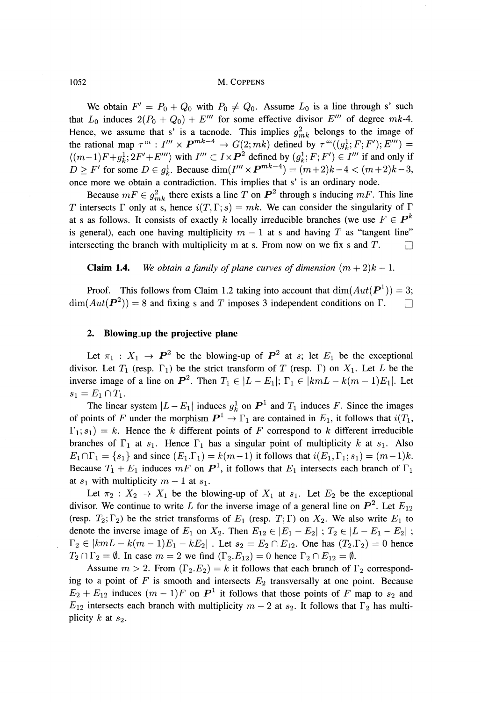#### 1052 M. COPPENS

We obtain  $F' = P_0 + Q_0$  with  $P_0 \neq Q_0$ . Assume  $L_0$  is a line through s' such that  $L_0$  induces  $2(P_0 + Q_0) + E'''$  for some effective divisor  $E'''$  of degree  $mk$ -4. Hence, we assume that s' is a tacnode. This implies  $g_{mk}^2$  belongs to the image of the rational map  $\tau^{\mu\nu}$  :  $I^{\prime\prime\prime} \times P^{mk-4} \rightarrow G(2;mk)$  defined by  $\tau^{\mu\nu}((g^1_k;F;F');E^{\prime\prime\prime}) =$  $\langle (m-1)F+g_k^1; 2F'+E'''\rangle$  with  $I''' \subset I \times P^2$  defined by  $(g_k^1; F; F') \in I'''$  if and only if  $D \ge F'$  for some  $D \in g_k^1$ . Because  $\dim(I''' \times P^{mk-4}) = (m+2)k-4 < (m+2)k-3$ , once more we obtain a contradiction. This implies that s' is an ordinary node.

Because  $mF \in g^2_{mk}$  there exists a line T on  $\mathbb{P}^2$  through s inducing  $mF$ . This line *T* intersects Γ only at s, hence  $i(T, \Gamma; s) = mk$ . We can consider the singularity of Γ at s as follows. It consists of exactly k locally irreducible branches (we use  $F \in \mathbf{P}^k$ is general), each one having multiplicity  $m - 1$  at s and having T as "tangent line" intersecting the branch with multiplicity m at s. From now on we fix s and  $T$ .

**Claim 1.4.** We obtain a family of plane curves of dimension  $(m+2)k-1$ .

Proof. This follows from Claim 1.2 taking into account that  $dim(Aut(P<sup>1</sup>)) = 3$ ;  $dim(Aut(P<sup>2</sup>)) = 8$  and fixing s and T imposes 3 independent conditions on  $\Gamma$ .

## **2. Blowing\_up the projective plane**

Let  $\pi_1 : X_1 \to \mathbf{P}^2$  be the blowing-up of  $\mathbf{P}^2$  at s; let  $E_1$  be the exceptional divisor. Let  $T_1$  (resp.  $\Gamma_1$ ) be the strict transform of T (resp.  $\Gamma$ ) on  $X_1$ . Let L be the inverse image of a line on  $P^2$ . Then  $T_1 \in |L - E_1|$ ;  $\Gamma_1 \in |k m L - k(m - 1)E_1|$ . Let  $s_1 = E_1 \cap T_1.$ 

The linear system  $|L - E_1|$  induces  $g_k^1$  on  $P^1$  and  $T_1$  induces F. Since the images of points of F under the morphism  $P^1 \to \Gamma_1$  are contained in  $E_1$ , it follows that  $i(T_1,$  $\Gamma_1$ ;  $s_1$ ) = k. Hence the k different points of F correspond to k different irreducible branches of  $\Gamma_1$  at  $s_1$ . Hence  $\Gamma_1$  has a singular point of multiplicity k at  $s_1$ . Also  $E_1 \cap \Gamma_1 = \{s_1\}$  and since  $(E_1 \Gamma_1) = k(m-1)$  it follows that  $i(E_1, \Gamma_1; s_1) = (m-1)k$ . Because  $T_1 + E_1$  induces  $mF$  on  $\mathbf{P}^1$ , it follows that  $E_1$  intersects each branch of  $\Gamma_1$ at  $s_1$  with multiplicity  $m-1$  at  $s_1$ .

Let  $\pi_2 : X_2 \to X_1$  be the blowing-up of  $X_1$  at  $s_1$ . Let  $E_2$  be the exceptional divisor. We continue to write L for the inverse image of a general line on  $\mathbf{P}^2$ . Let  $E_{12}$ (resp.  $T_2$ ;  $\Gamma_2$ ) be the strict transforms of  $E_1$  (resp.  $T$ ;  $\Gamma$ ) on  $X_2$ . We also write  $E_1$  to denote the inverse image of  $E_1$  on  $X_2$ . Then  $E_{12} \in |E_1 - E_2|$ ;  $T_2 \in |L - E_1 - E_2|$  $e_2 \in |k m L - k(m - 1)E_1 - kE_2|$ . Let  $s_2 = E_2 \cap E_{12}$ . One has  $(T_2, \Gamma_2) = 0$  hence  $T_2 \cap \Gamma_2 = \emptyset$ . In case  $m = 2$  we find  $(\Gamma_2.E_{12}) = 0$  hence  $\Gamma_2 \cap E_{12} = \emptyset$ .

Assume  $m > 2$ . From  $(\Gamma_2.E_2) = k$  it follows that each branch of  $\Gamma_2$  correspond ing to a point of  $F$  is smooth and intersects  $E_2$  transversally at one point. Because  $E_2 + E_{12}$  induces  $(m-1)F$  on  $P<sup>1</sup>$  it follows that those points of F map to  $s_2$  and *E*<sub>12</sub> intersects each branch with multiplicity  $m-2$  at  $s_2$ . It follows that  $\Gamma_2$  has multi plicity *k* at *s<sup>2</sup> .*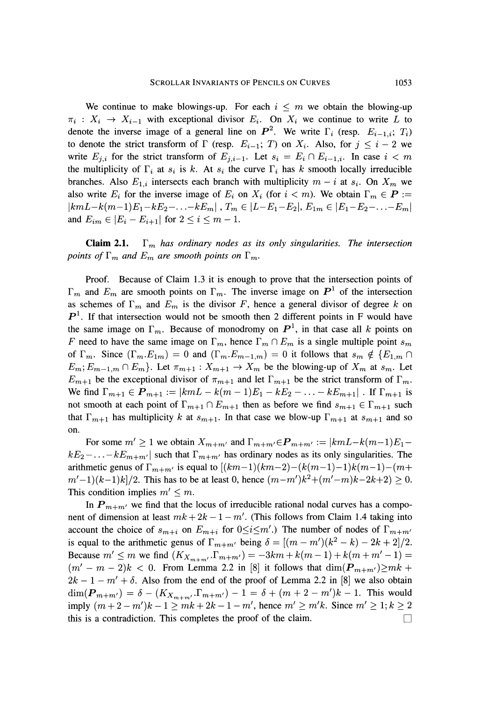We continue to make blowings-up. For each  $i \leq m$  we obtain the blowing-up  $\pi_i : X_i \to X_{i-1}$  with exceptional divisor  $E_i$ . On  $X_i$  we continue to write L to denote the inverse image of a general line on  $P^2$ . We write  $\Gamma_i$  (resp.  $E_{i-1,i}$ ;  $T_i$ ) to denote the strict transform of  $\Gamma$  (resp.  $E_{i-1}$ ; T) on  $X_i$ . Also, for  $j \leq i-2$  we write  $E_{j,i}$  for the strict transform of  $E_{j,i-1}$ . Let  $s_i = E_i \cap E_{i-1,i}$ . In case  $i < m$ the multiplicity of  $\Gamma_i$  at  $s_i$  is k. At  $s_i$  the curve  $\Gamma_i$  has k smooth locally irreducible branches. Also  $E_{1,i}$  intersects each branch with multiplicity  $m - i$  at  $s_i$ . On  $X_m$  we also write  $E_i$  for the inverse image of  $E_i$  on  $X_i$  (for  $i < m$ ). We obtain  $\Gamma_m \in \mathbf{P} :=$  $|k m L - k(m-1)E_1 - kE_2 - \ldots - kE_m|$  ,  $T_m \in |L-E_1-E_2|, E_{1m} \in |E_1-E_2 - \ldots - E_m|$ and  $E_{im} \in |E_i - E_{i+1}|$  for  $2 \le i \le m - 1$ .

**Claim 2.1.**  $\Gamma_m$  has ordinary nodes as its only singularities. The intersection *points of*  $\Gamma_m$  and  $E_m$  are smooth points on  $\Gamma_m$ .

Proof. Because of Claim 1.3 it is enough to prove that the intersection points of m and  $E_m$  are smooth points on  $\Gamma_m$ . The inverse image on  $P<sup>1</sup>$  of the intersection as schemes of  $\Gamma_m$  and  $E_m$  is the divisor *F*, hence a general divisor of degree *k* on  $P<sup>1</sup>$ . If that intersection would not be smooth then 2 different points in F would have the same image on  $\Gamma_m$ . Because of monodromy on  $P^1$ , in that case all k points on *F* need to have the same image on  $\Gamma_m$ , hence  $\Gamma_m \cap E_m$  is a single multiple point  $s_m$ of  $\Gamma_m$ . Since  $(\Gamma_m.E_{1m}) = 0$  and  $(\Gamma_m.E_{m-1,m}) = 0$  it follows that  $s_m \notin \{E_{1,m} \cap$  $E_m$ ;  $E_{m-1,m} \cap E_m$ . Let  $\pi_{m+1} : X_{m+1} \to X_m$  be the blowing-up of  $X_m$  at  $s_m$ . Let  $E_{m+1}$  be the exceptional divisor of  $\pi_{m+1}$  and let  $\Gamma_{m+1}$  be the strict transform of  $\Gamma_m$ . We find  $\Gamma_{m+1} \in P_{m+1} := |k m L - k(m-1)E_1 - kE_2 - \ldots - kE_{m+1}|$ . If  $\Gamma_{m+1}$  is not smooth at each point of  $\Gamma_{m+1} \cap E_{m+1}$  then as before we find  $s_{m+1} \in \Gamma_{m+1}$  such that  $\Gamma_{m+1}$  has multiplicity k at  $s_{m+1}$ . In that case we blow-up  $\Gamma_{m+1}$  at  $s_{m+1}$  and so on.

For some  $m' \geq 1$  we obtain  $X_{m+m'}$  and  $\Gamma_{m+m'} \in P_{m+m'} := |k m L - k(m-1)E_1$  $kE_2$  – ...  $-kE_{m+m'}$  such that  $\Gamma_{m+m'}$  has ordinary nodes as its only singularities. The arithmetic genus of  $\Gamma_{m+m'}$  is equal to  $[(km-1)(km-2)-(k(m-1)-1)k(m-1)-(m+1)]$  $(m'-1)(k-1)k/2$ . This has to be at least 0, hence  $(m-m')k^2 + (m'-m)k-2k+2) \ge 0$ . This condition implies  $m' \leq m$ .

In  $P_{m+m'}$  we find that the locus of irreducible rational nodal curves has a component of dimension at least  $mk + 2k - 1 - m'$ . (This follows from Claim 1.4 taking into account the choice of  $s_{m+i}$  on  $E_{m+i}$  for  $0 \le i \le m'$ .) The number of nodes of  $\Gamma_{m+m'}$ is equal to the arithmetic genus of  $\Gamma_{m+m'}$  being  $\delta = [(m-m')(k^2-k)-2k+2]/2$ . Because  $m' \le m$  we find  $(K_{X_{m+m'}} \Gamma_{m+m'}) = -3km + k(m-1) + k(m+m'-1) =$  $(m'-m-2)k < 0$ . From Lemma 2.2 in [8] it follows that  $\dim(\mathbf{P}_{m+m'}) \geq mk + 1$ .  $2k - 1 - m' + \delta$ . Also from the end of the proof of Lemma 2.2 in [8] we also obtain  $\dim(P_{m+m'}) = \delta - (K_{X_{m+m'}}.\Gamma_{m+m'}) - 1 = \delta + (m+2-m')k - 1$ . This would  $\lim_{m \to \infty} (m + 2 - m')k - 1 > mk + 2k - 1 - m'$ , hence  $m' > m'k$ . Since  $m' \ge 1; k > 2$ this is a contradiction. This completes the proof of the claim.  $\Box$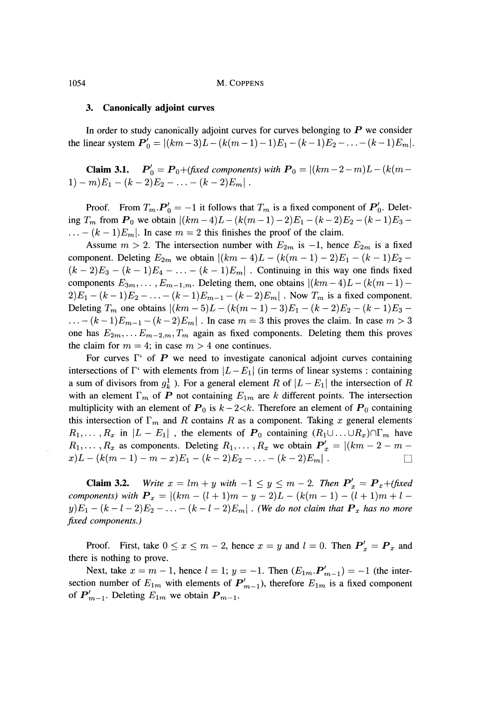#### **3. Canonically adjoint curves**

In order to study canonically adjoint curves for curves belonging to *P* we consider the linear system  $P'_0 = |(km - 3)L - (k(m - 1) - 1)E_1 - (k-1)E_2 - \ldots - (k-1)E_m|$ .

**Claim 3.1.**  $P'_0 = P_0 + (\text{fixed components}) \text{ with } P_0 = |(km - 2 - m)L - (k(m - 1))|$  $- \ldots - (k-2)E_m$ .

Proof. From  $T_m \cdot P'_0 = -1$  it follows that  $T_m$  is a fixed component of  $P'_0$ . Delet ing  $T_m$  from  $P_0$  we obtain  $\left| (km - 4)L - (k(m - 1) - 2)E_1 - (k - 2)E_2 - (k - 1)E_3 - \cdots \right|$  $\ldots - (k-1)E_m$ . In case  $m = 2$  this finishes the proof of the claim.

Assume  $m > 2$ . The intersection number with  $E_{2m}$  is  $-1$ , hence  $E_{2m}$  is a fixed component. Deleting  $E_{2m}$  we obtain  $|(km - 4)L - (k(m - 1) - 2)E_1 - (k - 1)E_2 (k-2)E_3 - (k-1)E_4 - \ldots - (k-1)E_m$ . Continuing in this way one finds fixed components  $E_{3m}$ , ...,  $E_{m-1,m}$ . Deleting them, one obtains  $\left|\left(km-4\right)L-\left(k(m-1)-\right)\right|$  $2)E_1 - (k-1)E_2 - \ldots - (k-1)E_{m-1} - (k-2)E_m$ . Now  $T_m$  is a fixed component. Deleting  $T_m$  one obtains  $|(km - 5)L - (k(m - 1) - 3)E_1 - (k - 2)E_2 - (k - 1)E_3$  $\ldots - (k-1)E_{m-1} - (k-2)E_m$ . In case  $m = 3$  this proves the claim. In case  $m > 3$ one has  $E_{2m}$ , ...  $E_{m-2,m}$ ,  $T_m$  again as fixed components. Deleting them this proves the claim for  $m = 4$ ; in case  $m > 4$  one continues.

For curves  $\Gamma^{\prime}$  of P we need to investigate canonical adjoint curves containing intersections of Γ' with elements from  $\vert L - E_1\vert$  (in terms of linear systems : containing a sum of divisors from  $g_k^1$ ). For a general element R of  $|L - E_1|$  the intersection of R with an element  $\Gamma_m$  of  $P$  not containing  $E_{1m}$  are  $k$  different points. The intersection multiplicity with an element of  $P_0$  is  $k-2 < k$ . Therefore an element of  $P_0$  containing this intersection of  $\Gamma_m$  and *R* contains *R* as a component. Taking *x* general elements  $R_1, \ldots, R_x$  in  $\vert L - E_1 \vert$ , the elements of  $P_0$  containing  $(R_1 \cup \ldots \cup R_x) \cap \Gamma_m$  have  $R_1, \ldots, R_x$  as components. Deleting  $R_1, \ldots, R_x$  we obtain  $P'_x = |(km - 2 - m - 1)|$  $x(L - (k(m - 1) - m - x)E_1 - (k - 2)E_2 - \ldots - (k - 2)E_m$ .

**Claim 3.2.** Write  $x = lm + y$  with  $-1 \le y \le m - 2$ . Then  $P'_x = P_x + (fixed)$ *components*) with  $P_x = |(km - (l + 1)m - y - 2)L - (k(m - 1) - (l + 1)m + l - 1)$  $y)E_1 - (k-l-2)E_2 - \ldots - (k-l-2)E_m |$  . (We do not claim that  $\boldsymbol{P}_x$  has no more *fixed components.)*

Proof. First, take  $0 \le x \le m - 2$ , hence  $x = y$  and  $l = 0$ . Then  $P'_x = P_x$  and there is nothing to prove.

Next, take  $x = m - 1$ , hence  $l = 1$ ;  $y = -1$ . Then  $(E_{1m} \cdot P'_{m-1}) = -1$  (the intersection number of  $E_{1m}$  with elements of  $P'_{m-1}$ ), therefore  $E_{1m}$  is a fixed component of  $P'_{m-1}$ . Deleting  $E_{1m}$  we obtain  $P_{m-1}$ .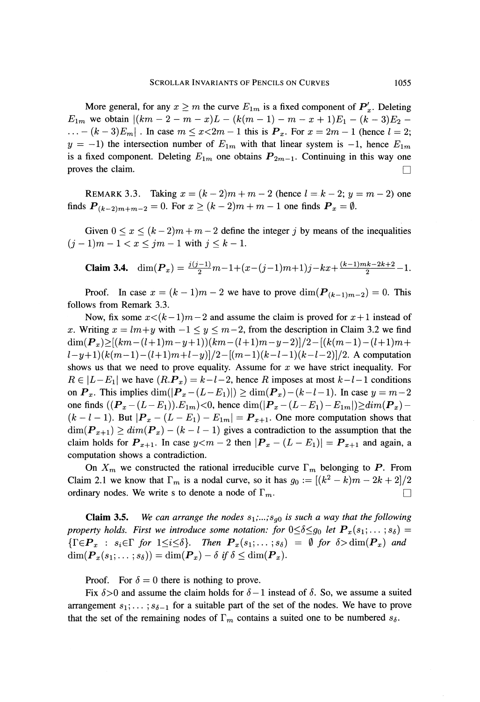More general, for any  $x \ge m$  the curve  $E_{1m}$  is a fixed component of  $P'_x$ . Deleting *E*<sub>1*m*</sub> we obtain  $|(km - 2 - m - x)L - (k(m - 1) - m - x + 1)E_1 - (k - 3)E_2$  $\ldots - (k-3)E_m$ . In case  $m \le x < 2m - 1$  this is  $P_x$ . For  $x = 2m - 1$  (hence  $l = 2$ ;  $y = -1$ ) the intersection number of  $E_{1m}$  with that linear system is  $-1$ , hence  $E_{1m}$ is a fixed component. Deleting  $E_{1m}$  one obtains  $P_{2m-1}$ . Continuing in this way one proves the claim.  $\Box$ 

REMARK 3.3. Taking  $x = (k-2)m + m - 2$  (hence  $l = k-2$ ;  $y = m-2$ ) one finds  $P_{(k-2)m+m-2} = 0$ . For  $x \ge (k-2)m + m - 1$  one finds  $P_x = \emptyset$ .

Given  $0 \le x \le (k-2)m + m-2$  define the integer j by means of the inequalities  $(j-1)m-1 < x \leq jm-1$  with  $j \leq k-1$ .

**Claim 3.4.** 
$$
\dim(\boldsymbol{P}_x) = \frac{j(j-1)}{2}m - 1 + (x - (j-1)m + 1)j - kx + \frac{(k-1)mk - 2k + 2}{2} - 1.
$$

Proof. In case  $x = (k-1)m - 2$  we have to prove  $\dim(\mathbf{P}_{(k-1)m-2}) = 0$ . This follows from Remark 3.3.

Now, fix some  $x < (k-1)m-2$  and assume the claim is proved for  $x+1$  instead of *x*. Writing  $x = lm+y$  with  $-1 \le y \le m-2$ , from the description in Claim 3.2 we find  $\dim(P_x) \geq [(km-(l+1)m-y+1))(km-(l+1)m-y-2)]/2 - [(k(m-1)-(l+1)m+1)]/2]$  $(l-y+1)(k(m-1)-(l+1)m+l-y)/2-[(m-1)(k-l-1)(k-l-2)]/2$ . A computation shows us that we need to prove equality. Assume for *x* we have strict inequality. For  $R \in |L - E_1|$  we have  $(R.P_x) = k-l-2$ , hence *R* imposes at most  $k-l-1$  conditions on  $P_x$ . This implies  $\dim(|P_x - (L - E_1)|) \ge \dim(P_x) - (k - l - 1)$ . In case  $y = m - 2$ one finds  $((P_x - (L - E_1)).E_{1m}) < 0$ , hence  $\dim(|P_x - (L - E_1) - E_{1m}|) \geq \dim(P_x) (k-l-1)$ . But  $|\mathbf{P}_x - (L - E_1) - E_{1m}| = \mathbf{P}_{x+1}$ . One more computation shows that  $\dim(\mathbf{P}_{x+1}) \geq \dim(\mathbf{P}_x) - (k - l - 1)$  gives a contradiction to the assumption that the claim holds for  $P_{x+1}$ . In case  $y < m - 2$  then  $\left| P_x - (L - E_1) \right| = P_{x+1}$  and again, a computation shows a contradiction.

On  $X_m$  we constructed the rational irreducible curve  $\Gamma_m$  belonging to P. From Claim 2.1 we know that  $\Gamma_m$  is a nodal curve, so it has  $g_0 := [(k^2 - k)m - 2k + 2]/2$ ordinary nodes. We write s to denote a node of  $\Gamma_m$ .  $\blacksquare$ .

**Claim 3.5.** We can arrange the nodes  $s_1$ ;...; $s_{g0}$  is such a way that the following *property holds. First we introduce some notation: for*  $0 \le \delta \le g_0$  *let*  $\mathbf{P}_x(s_1; \ldots; s_\delta)$  =  $\{\Gamma \in \mathbf{P}_x : s_i \in \Gamma \text{ for } 1 \leq i \leq \delta\}$ . Then  $\mathbf{P}_x(s_1; \ldots; s_\delta) = \emptyset$  for  $\delta > \dim(\mathbf{P}_x)$  and  $\dim(\boldsymbol{P}_x(s_1;\dots;s_\delta)) = \dim(\boldsymbol{P}_x) - \delta \, \, \textit{if} \, \, \delta \leq \dim(\boldsymbol{P}_x).$ 

Proof. For  $\delta = 0$  there is nothing to prove.

Fix  $\delta > 0$  and assume the claim holds for  $\delta - 1$  instead of  $\delta$ . So, we assume a suited arrangement  $s_1; \ldots; s_{\delta-1}$  for a suitable part of the set of the nodes. We have to prove that the set of the remaining nodes of  $\Gamma_m$  contains a suited one to be numbered  $s_\delta$ .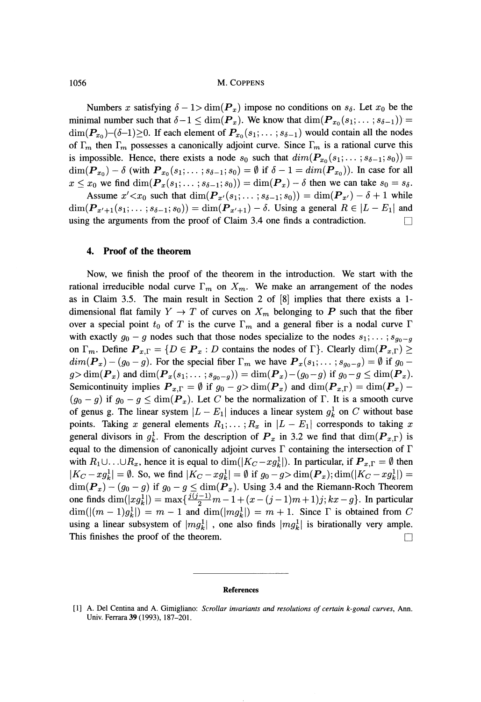1056 M. COPPENS

Numbers x satisfying  $\delta - 1 > \dim(P_x)$  impose no conditions on  $s_{\delta}$ . Let  $x_0$  be the minimal number such that  $\delta - 1 \le \dim(P_x)$ . We know that  $\dim(P_{x_0}(s_1; \dots; s_{\delta-1})) =$  $\dim(\mathcal{P}_{x_0})$ - $(\delta$ -1) $\geq$ 0. If each element of  $\mathcal{P}_{x_0}(s_1;\dots;s_{\delta-1})$  would contain all the nodes of  $\Gamma_m$  then  $\Gamma_m$  possesses a canonically adjoint curve. Since  $\Gamma_m$  is a rational curve this is impossible. Hence, there exists a node  $s_0$  such that  $dim(P_{x_0}(s_1; \ldots; s_{\delta-1}; s_0)) =$  $\dim(\mathbf{P}_{x_0}) - \delta$  (with  $\mathbf{P}_{x_0}(s_1; \ldots; s_{\delta-1}; s_0) = \emptyset$  if  $\delta - 1 = \dim(\mathbf{P}_{x_0})$ ). In case for all  $x \le x_0$  we find  $\dim(P_x(s_1; \ldots; s_{\delta-1}; s_0)) = \dim(P_x) - \delta$  then we can take  $s_0 = s_{\delta}$ .

Assume  $x' < x_0$  such that  $\dim(P_{x'}(s_1; \dots; s_{\delta-1}; s_0)) = \dim(P_{x'}) - \delta + 1$  while  $\dim(\boldsymbol{P}_{x'+1}(s_1; \dots; s_{\delta-1}; s_0)) = \dim(\boldsymbol{P}_{x'+1}) - \delta$ . Using a general  $R \in |L - E_1|$  and using the arguments from the proof of Claim 3.4 one finds a contradiction.  $\Box$ 

# **4. Proof of the theorem**

Now, we finish the proof of the theorem in the introduction. We start with the rational irreducible nodal curve  $\Gamma_m$  on  $X_m$ . We make an arrangement of the nodes as in Claim 3.5. The main result in Section 2 of [8] implies that there exists a 1 dimensional flat family  $Y \to T$  of curves on  $X_m$  belonging to P such that the fiber over a special point  $t_0$  of  $T$  is the curve  $\Gamma_m$  and a general fiber is a nodal curve  $\Gamma$ with exactly  $g_0 - g$  nodes such that those nodes specialize to the nodes  $s_1; \ldots; s_{g_0-g}$ on  $\Gamma_m$ . Define  $P_{x,\Gamma} = \{D \in \mathbf{P}_x : D \text{ contains the nodes of } \Gamma\}$ . Clearly  $\dim(P_{x,\Gamma}) \ge$  $dim(\mathbf{P}_x) - (g_0 - g)$ . For the special fiber  $\Gamma_m$  we have  $\mathbf{P}_x(s_1; \dots; s_{g_0 - g}) = \emptyset$  if  $g_0$  $g > \dim(\boldsymbol{P}_x)$  and  $\dim(\boldsymbol{P}_x(s_1; \dots; s_{g_0-g})) = \dim(\boldsymbol{P}_x) - (g_0 - g)$  if  $g_0 - g \leq \dim(\boldsymbol{P}_x)$ . Semicontinuity implies  $P_{x,\Gamma} = \emptyset$  if  $g_0 - g > \dim(P_x)$  and  $\dim(P_{x,\Gamma}) = \dim(P_x) - g$  $(g_0 - g)$  if  $g_0 - g \le \dim(\mathbf{P}_x)$ . Let *C* be the normalization of Γ. It is a smooth curve of genus g. The linear system  $\vert L-E_1\vert$  induces a linear system  $g_k^1$  on C without base points. Taking x general elements  $R_1, \ldots, R_x$  in  $\vert L-E_1\vert$  corresponds to taking x general divisors in  $g_k^1$ . From the description of  $\mathbf{P}_x$  in 3.2 we find that  $\dim(\mathbf{P}_{x,\Gamma})$  is equal to the dimension of canonically adjoint curves  $\Gamma$  containing the intersection of  $\Gamma$ with  $R_1\cup\ldots\cup R_x$ , hence it is equal to  $\dim(|K_C-xg_k^1|)$ . In particular, if  $\mathbf{P}_{x,\Gamma} = \emptyset$  then  $|K_C - x g_k^1| = \emptyset$ . So, we find  $|K_C - x g_k^1| = \emptyset$  if  $g_0 - g > \dim(P_x)$ ;  $\dim(|K_C - x g_k^1|) = \emptyset$  $\dim(\mathbf{P}_x) - (g_0 - g)$  if  $g_0 - g \leq \dim(\mathbf{P}_x)$ . Using 3.4 and the Riemann-Roch Theorem one finds  $\dim(|xq^1_k|) = \max\{ \frac{j(j-1)}{2}m - 1 + (x - (j-1)m + 1)j; kx - g \}$ . In particular  $\dim(|(m-1)g_k^1|) = m - 1$  and  $\dim(|mg_k^1|) = m + 1$ . Since Γ is obtained from C using a linear subsystem of  $\vert mg_k^1 \vert$ , one also finds  $\vert mg_k^1 \vert$  is birationally very ample. This finishes the proof of the theorem.  $\Box$ 

#### **References**

<sup>[1]</sup> A. Del Centina and A. Gimigliano: *Scrollar invariants and resolutions of certain k-gonal curves,* Ann. Univ. Ferrara 39 (1993), 187-201.